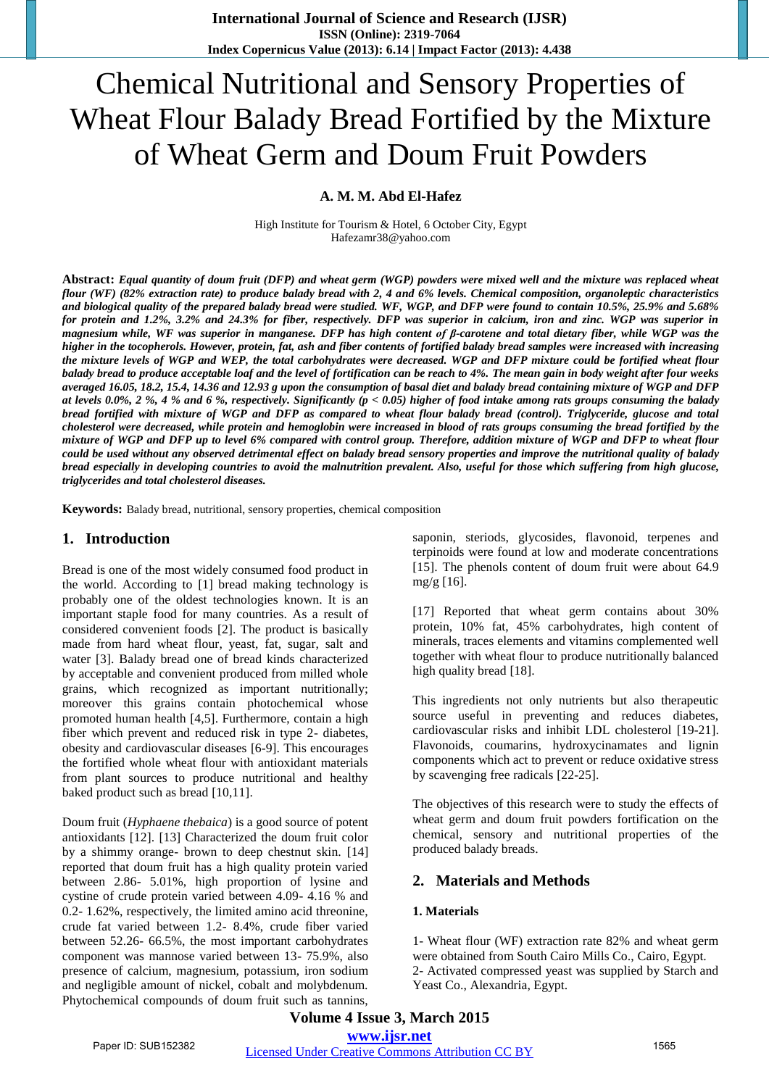# Chemical Nutritional and Sensory Properties of Wheat Flour Balady Bread Fortified by the Mixture of Wheat Germ and Doum Fruit Powders

## **A. M. M. Abd El-Hafez**

High Institute for Tourism & Hotel, 6 October City, Egypt Hafezamr38@yahoo.com

**Abstract:** *Equal quantity of doum fruit (DFP) and wheat germ (WGP) powders were mixed well and the mixture was replaced wheat flour (WF) (82% extraction rate) to produce balady bread with 2, 4 and 6% levels. Chemical composition, organoleptic characteristics and biological quality of the prepared balady bread were studied. WF, WGP, and DFP were found to contain 10.5%, 25.9% and 5.68% for protein and 1.2%, 3.2% and 24.3% for fiber, respectively. DFP was superior in calcium, iron and zinc. WGP was superior in magnesium while, WF was superior in manganese. DFP has high content of β-carotene and total dietary fiber, while WGP was the higher in the tocopherols. However, protein, fat, ash and fiber contents of fortified balady bread samples were increased with increasing the mixture levels of WGP and WEP, the total carbohydrates were decreased. WGP and DFP mixture could be fortified wheat flour balady bread to produce acceptable loaf and the level of fortification can be reach to 4%. The mean gain in body weight after four weeks averaged 16.05, 18.2, 15.4, 14.36 and 12.93 g upon the consumption of basal diet and balady bread containing mixture of WGP and DFP at levels 0.0%, 2 %, 4 % and 6 %, respectively. Significantly (p < 0.05) higher of food intake among rats groups consuming the balady bread fortified with mixture of WGP and DFP as compared to wheat flour balady bread (control). Triglyceride, glucose and total cholesterol were decreased, while protein and hemoglobin were increased in blood of rats groups consuming the bread fortified by the mixture of WGP and DFP up to level 6% compared with control group. Therefore, addition mixture of WGP and DFP to wheat flour could be used without any observed detrimental effect on balady bread sensory properties and improve the nutritional quality of balady bread especially in developing countries to avoid the malnutrition prevalent. Also, useful for those which suffering from high glucose, triglycerides and total cholesterol diseases.*

**Keywords:** Balady bread, nutritional, sensory properties, chemical composition

#### **1. Introduction**

Bread is one of the most widely consumed food product in the world. According to [1] bread making technology is probably one of the oldest technologies known. It is an important staple food for many countries. As a result of considered convenient foods [2]. The product is basically made from hard wheat flour, yeast, fat, sugar, salt and water [3]. Balady bread one of bread kinds characterized by acceptable and convenient produced from milled whole grains, which recognized as important nutritionally; moreover this grains contain photochemical whose promoted human health [4,5]. Furthermore, contain a high fiber which prevent and reduced risk in type 2- diabetes, obesity and cardiovascular diseases [6-9]. This encourages the fortified whole wheat flour with antioxidant materials from plant sources to produce nutritional and healthy baked product such as bread [10,11].

Doum fruit (*Hyphaene thebaica*) is a good source of potent antioxidants [12]. [13] Characterized the doum fruit color by a shimmy orange- brown to deep chestnut skin. [14] reported that doum fruit has a high quality protein varied between 2.86- 5.01%, high proportion of lysine and cystine of crude protein varied between 4.09- 4.16 % and 0.2- 1.62%, respectively, the limited amino acid threonine, crude fat varied between 1.2- 8.4%, crude fiber varied between 52.26- 66.5%, the most important carbohydrates component was mannose varied between 13- 75.9%, also presence of calcium, magnesium, potassium, iron sodium and negligible amount of nickel, cobalt and molybdenum. Phytochemical compounds of doum fruit such as tannins,

saponin, steriods, glycosides, flavonoid, terpenes and terpinoids were found at low and moderate concentrations [15]. The phenols content of doum fruit were about 64.9 mg/g [16].

[17] Reported that wheat germ contains about 30% protein, 10% fat, 45% carbohydrates, high content of minerals, traces elements and vitamins complemented well together with wheat flour to produce nutritionally balanced high quality bread [18].

This ingredients not only nutrients but also therapeutic source useful in preventing and reduces diabetes, cardiovascular risks and inhibit LDL cholesterol [19-21]. Flavonoids, coumarins, hydroxycinamates and lignin components which act to prevent or reduce oxidative stress by scavenging free radicals [22-25].

The objectives of this research were to study the effects of wheat germ and doum fruit powders fortification on the chemical, sensory and nutritional properties of the produced balady breads.

# **2. Materials and Methods**

### **1. Materials**

1- Wheat flour (WF) extraction rate 82% and wheat germ were obtained from South Cairo Mills Co., Cairo, Egypt. 2- Activated compressed yeast was supplied by Starch and Yeast Co., Alexandria, Egypt.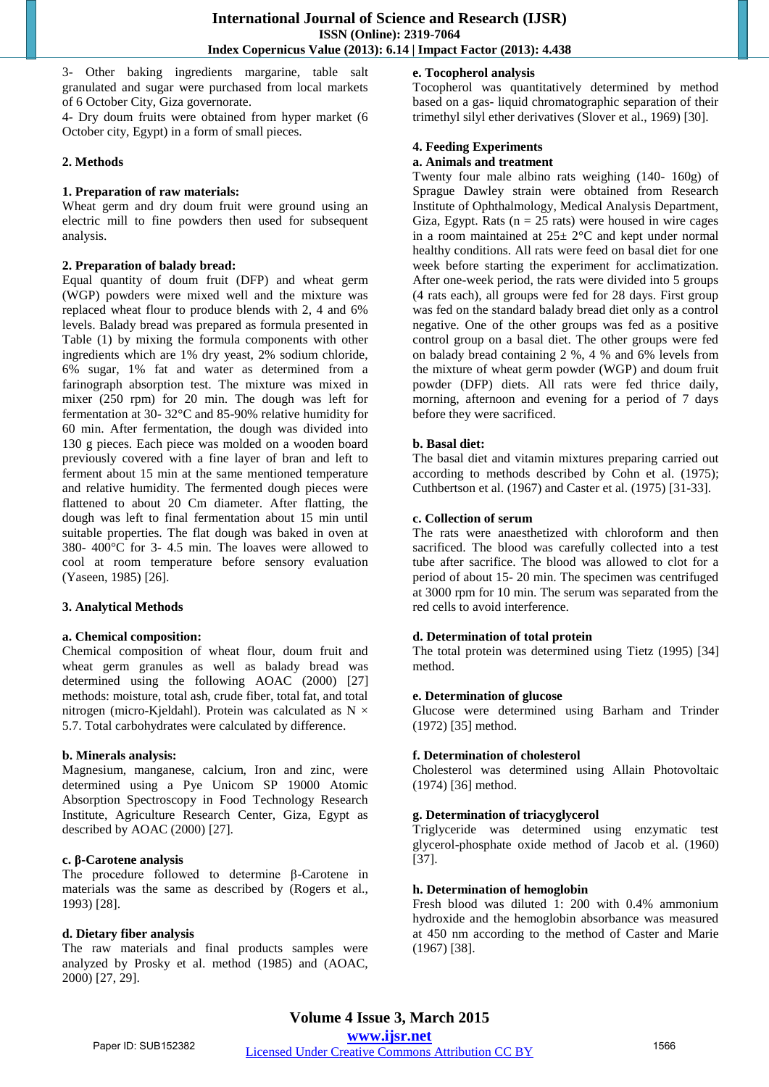3- Other baking ingredients margarine, table salt granulated and sugar were purchased from local markets of 6 October City, Giza governorate.

4- Dry doum fruits were obtained from hyper market (6 October city, Egypt) in a form of small pieces.

#### **2. Methods**

## **1. Preparation of raw materials:**

Wheat germ and dry doum fruit were ground using an electric mill to fine powders then used for subsequent analysis.

#### **2. Preparation of balady bread:**

Equal quantity of doum fruit (DFP) and wheat germ (WGP) powders were mixed well and the mixture was replaced wheat flour to produce blends with 2, 4 and 6% levels. Balady bread was prepared as formula presented in Table (1) by mixing the formula components with other ingredients which are 1% dry yeast, 2% sodium chloride, 6% sugar, 1% fat and water as determined from a farinograph absorption test. The mixture was mixed in mixer (250 rpm) for 20 min. The dough was left for fermentation at 30- 32°C and 85-90% relative humidity for 60 min. After fermentation, the dough was divided into 130 g pieces. Each piece was molded on a wooden board previously covered with a fine layer of bran and left to ferment about 15 min at the same mentioned temperature and relative humidity. The fermented dough pieces were flattened to about 20 Cm diameter. After flatting, the dough was left to final fermentation about 15 min until suitable properties. The flat dough was baked in oven at 380- 400°C for 3- 4.5 min. The loaves were allowed to cool at room temperature before sensory evaluation (Yaseen, 1985) [26].

# **3. Analytical Methods**

# **a. Chemical composition:**

Chemical composition of wheat flour, doum fruit and wheat germ granules as well as balady bread was determined using the following AOAC (2000) [27] methods: moisture, total ash, crude fiber, total fat, and total nitrogen (micro-Kjeldahl). Protein was calculated as  $N \times$ 5.7. Total carbohydrates were calculated by difference.

#### **b. Minerals analysis:**

Magnesium, manganese, calcium, Iron and zinc, were determined using a Pye Unicom SP 19000 Atomic Absorption Spectroscopy in Food Technology Research Institute, Agriculture Research Center, Giza, Egypt as described by AOAC (2000) [27].

#### **c. β-Carotene analysis**

The procedure followed to determine β-Carotene in materials was the same as described by (Rogers et al., 1993) [28].

#### **d. Dietary fiber analysis**

The raw materials and final products samples were analyzed by Prosky et al. method (1985) and (AOAC, 2000) [27, 29].

# **e. Tocopherol analysis**

Tocopherol was quantitatively determined by method based on a gas- liquid chromatographic separation of their trimethyl silyl ether derivatives (Slover et al., 1969) [30].

## **4. Feeding Experiments**

## **a. Animals and treatment**

Twenty four male albino rats weighing (140- 160g) of Sprague Dawley strain were obtained from Research Institute of Ophthalmology, Medical Analysis Department, Giza, Egypt. Rats ( $n = 25$  rats) were housed in wire cages in a room maintained at  $25 \pm 2$ °C and kept under normal healthy conditions. All rats were feed on basal diet for one week before starting the experiment for acclimatization. After one-week period, the rats were divided into 5 groups (4 rats each), all groups were fed for 28 days. First group was fed on the standard balady bread diet only as a control negative. One of the other groups was fed as a positive control group on a basal diet. The other groups were fed on balady bread containing 2 %, 4 % and 6% levels from the mixture of wheat germ powder (WGP) and doum fruit powder (DFP) diets. All rats were fed thrice daily, morning, afternoon and evening for a period of 7 days before they were sacrificed.

## **b. Basal diet:**

The basal diet and vitamin mixtures preparing carried out according to methods described by Cohn et al. (1975); Cuthbertson et al. (1967) and Caster et al. (1975) [31-33].

## **c. Collection of serum**

The rats were anaesthetized with chloroform and then sacrificed. The blood was carefully collected into a test tube after sacrifice. The blood was allowed to clot for a period of about 15- 20 min. The specimen was centrifuged at 3000 rpm for 10 min. The serum was separated from the red cells to avoid interference.

#### **d. Determination of total protein**

The total protein was determined using Tietz (1995) [34] method.

#### **e. Determination of glucose**

Glucose were determined using Barham and Trinder (1972) [35] method.

# **f. Determination of cholesterol**

Cholesterol was determined using Allain Photovoltaic (1974) [36] method.

# **g. Determination of triacyglycerol**

Triglyceride was determined using enzymatic test glycerol-phosphate oxide method of Jacob et al. (1960) [37].

#### **h. Determination of hemoglobin**

Fresh blood was diluted 1: 200 with 0.4% ammonium hydroxide and the hemoglobin absorbance was measured at 450 nm according to the method of Caster and Marie (1967) [38].

**Volume 4 Issue 3, March 2015 www.ijsr.net** Paper ID: SUB152382 Licensed Under Creative Commons Attribution CC BY 1566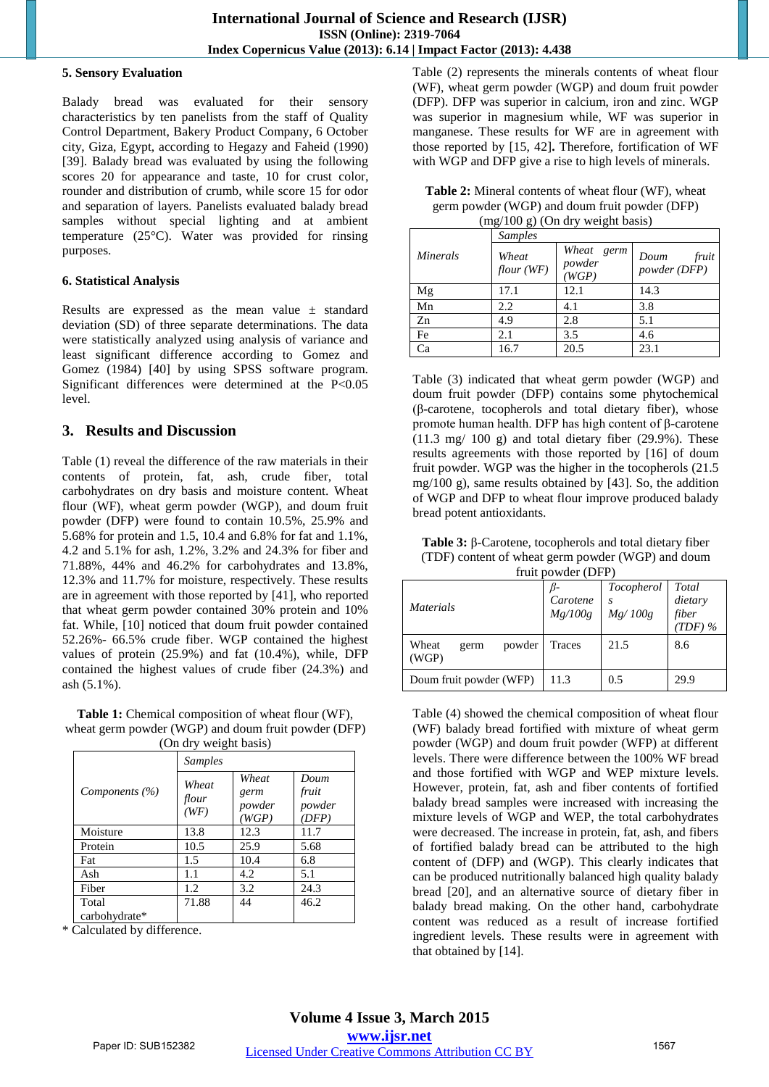#### **5. Sensory Evaluation**

Balady bread was evaluated for their sensory characteristics by ten panelists from the staff of Quality Control Department, Bakery Product Company, 6 October city, Giza, Egypt, according to Hegazy and Faheid (1990) [39]. Balady bread was evaluated by using the following scores 20 for appearance and taste, 10 for crust color, rounder and distribution of crumb, while score 15 for odor and separation of layers. Panelists evaluated balady bread samples without special lighting and at ambient temperature (25°C). Water was provided for rinsing purposes.

## **6. Statistical Analysis**

Results are expressed as the mean value  $\pm$  standard deviation (SD) of three separate determinations. The data were statistically analyzed using analysis of variance and least significant difference according to Gomez and Gomez (1984) [40] by using SPSS software program. Significant differences were determined at the P<0.05 level.

# **3. Results and Discussion**

Table (1) reveal the difference of the raw materials in their contents of protein, fat, ash, crude fiber, total carbohydrates on dry basis and moisture content. Wheat flour (WF), wheat germ powder (WGP), and doum fruit powder (DFP) were found to contain 10.5%, 25.9% and 5.68% for protein and 1.5, 10.4 and 6.8% for fat and 1.1%, 4.2 and 5.1% for ash, 1.2%, 3.2% and 24.3% for fiber and 71.88%, 44% and 46.2% for carbohydrates and 13.8%, 12.3% and 11.7% for moisture, respectively. These results are in agreement with those reported by [41], who reported that wheat germ powder contained 30% protein and 10% fat. While, [10] noticed that doum fruit powder contained 52.26%- 66.5% crude fiber. WGP contained the highest values of protein (25.9%) and fat (10.4%), while, DFP contained the highest values of crude fiber (24.3%) and ash (5.1%).

**Table 1:** Chemical composition of wheat flour (WF), wheat germ powder (WGP) and doum fruit powder (DFP) (On dry weight basis)

| $\sqrt{9}$ at $\sqrt{9}$ weight basis) |                        |                                  |                                  |  |  |  |
|----------------------------------------|------------------------|----------------------------------|----------------------------------|--|--|--|
|                                        | <b>Samples</b>         |                                  |                                  |  |  |  |
| Components (%)                         | Wheat<br>flour<br>(WF) | Wheat<br>germ<br>powder<br>(WGP) | Doum<br>fruit<br>powder<br>(DFP) |  |  |  |
| Moisture                               | 13.8                   | 12.3                             | 11.7                             |  |  |  |
| Protein                                | 10.5                   | 25.9                             | 5.68                             |  |  |  |
| Fat                                    | 1.5                    | 10.4                             | 6.8                              |  |  |  |
| Ash                                    | 1.1                    | 4.2                              | 5.1                              |  |  |  |
| Fiber                                  | 1.2                    | 3.2                              | 24.3                             |  |  |  |
| Total                                  | 71.88                  | 44                               | 46.2                             |  |  |  |
| carbohydrate*                          |                        |                                  |                                  |  |  |  |

\* Calculated by difference.

Table (2) represents the minerals contents of wheat flour (WF), wheat germ powder (WGP) and doum fruit powder (DFP). DFP was superior in calcium, iron and zinc. WGP was superior in magnesium while, WF was superior in manganese. These results for WF are in agreement with those reported by [15, 42]**.** Therefore, fortification of WF with WGP and DFP give a rise to high levels of minerals.

| <b>Table 2:</b> Mineral contents of wheat flour (WF), wheat |
|-------------------------------------------------------------|
| germ powder (WGP) and doum fruit powder (DFP)               |
| $(mg/100 g)$ (On dry weight basis)                          |

| <b>Samples</b>  |                    |                               |                               |  |  |
|-----------------|--------------------|-------------------------------|-------------------------------|--|--|
| <i>Minerals</i> | Wheat<br>flour(WF) | Wheat germ<br>powder<br>(WGP) | fruit<br>Doum<br>powder (DFP) |  |  |
| Mg              | 17.1               | 12.1                          | 14.3                          |  |  |
| Mn              | 2.2                | 4.1                           | 3.8                           |  |  |
| Zn              | 4.9                | 2.8                           | 5.1                           |  |  |
| Fe              | 2.1                | 3.5                           | 4.6                           |  |  |
| Ca              | 16.7               | 20.5                          | 23.1                          |  |  |

Table (3) indicated that wheat germ powder (WGP) and doum fruit powder (DFP) contains some phytochemical (β-carotene, tocopherols and total dietary fiber), whose promote human health. DFP has high content of β-carotene  $(11.3 \text{ mg}/ 100 \text{ g})$  and total dietary fiber  $(29.9\%)$ . These results agreements with those reported by [16] of doum fruit powder. WGP was the higher in the tocopherols (21.5 mg/100 g), same results obtained by [43]. So, the addition of WGP and DFP to wheat flour improve produced balady bread potent antioxidants.

**Table 3:** β-Carotene, tocopherols and total dietary fiber (TDF) content of wheat germ powder (WGP) and doum fruit powder (DFP)

| $H$ uit powder (DFT)             |                     |                       |                                        |  |  |  |
|----------------------------------|---------------------|-----------------------|----------------------------------------|--|--|--|
| <i>Materials</i>                 | Carotene<br>Mg/100g | Tocopherol<br>Mg/100g | Total<br>dietary<br>fiber<br>$(TDF)$ % |  |  |  |
| Wheat<br>powder<br>germ<br>(WGP) | Traces              | 21.5                  | 8.6                                    |  |  |  |
| Doum fruit powder (WFP)          | 11.3                | 0.5                   | 29.9                                   |  |  |  |

Table (4) showed the chemical composition of wheat flour (WF) balady bread fortified with mixture of wheat germ powder (WGP) and doum fruit powder (WFP) at different levels. There were difference between the 100% WF bread and those fortified with WGP and WEP mixture levels. However, protein, fat, ash and fiber contents of fortified balady bread samples were increased with increasing the mixture levels of WGP and WEP, the total carbohydrates were decreased. The increase in protein, fat, ash, and fibers of fortified balady bread can be attributed to the high content of (DFP) and (WGP). This clearly indicates that can be produced nutritionally balanced high quality balady bread [20], and an alternative source of dietary fiber in balady bread making. On the other hand, carbohydrate content was reduced as a result of increase fortified ingredient levels. These results were in agreement with that obtained by [14].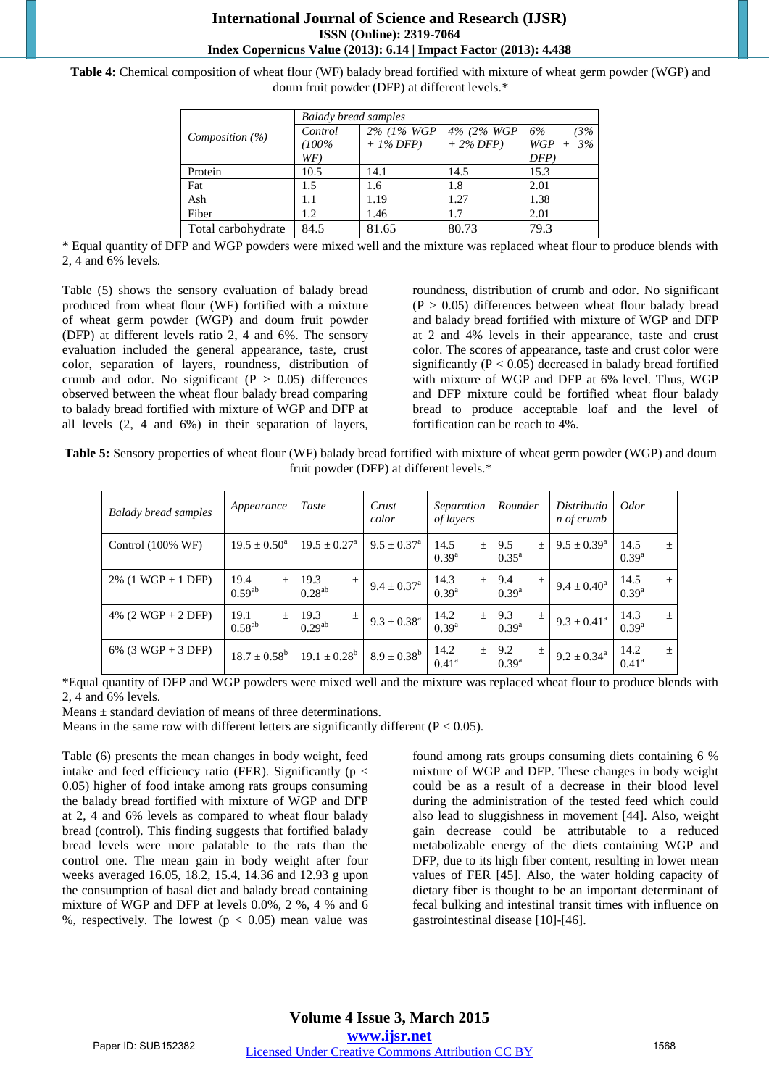## **International Journal of Science and Research (IJSR) ISSN (Online): 2319-7064 Index Copernicus Value (2013): 6.14 | Impact Factor (2013): 4.438**

**Table 4:** Chemical composition of wheat flour (WF) balady bread fortified with mixture of wheat germ powder (WGP) and doum fruit powder (DFP) at different levels.\*

|                    | <b>Balady bread samples</b> |             |             |               |  |  |
|--------------------|-----------------------------|-------------|-------------|---------------|--|--|
| Composition $(\%)$ | Control                     | 2% (1% WGP  | 4% (2% WGP) | 6%<br>$(3\%$  |  |  |
|                    | $(100\%$                    | $+1\%$ DFP) | $+2\%$ DFP) | 3%<br>$WGP +$ |  |  |
|                    | WF)                         |             |             | $DFP$ )       |  |  |
| Protein            | 10.5                        | 14.1        | 14.5        | 15.3          |  |  |
| Fat                | 1.5                         | 1.6         | 1.8         | 2.01          |  |  |
| Ash                | 1.1                         | 1.19        | 1.27        | 1.38          |  |  |
| Fiber              | 1.2                         | 1.46        | 1.7         | 2.01          |  |  |
| Total carbohydrate | 84.5                        | 81.65       | 80.73       | 79.3          |  |  |

\* Equal quantity of DFP and WGP powders were mixed well and the mixture was replaced wheat flour to produce blends with 2, 4 and 6% levels.

Table (5) shows the sensory evaluation of balady bread produced from wheat flour (WF) fortified with a mixture of wheat germ powder (WGP) and doum fruit powder (DFP) at different levels ratio 2, 4 and 6%. The sensory evaluation included the general appearance, taste, crust color, separation of layers, roundness, distribution of crumb and odor. No significant ( $P > 0.05$ ) differences observed between the wheat flour balady bread comparing to balady bread fortified with mixture of WGP and DFP at all levels (2, 4 and 6%) in their separation of layers,

roundness, distribution of crumb and odor. No significant  $(P > 0.05)$  differences between wheat flour balady bread and balady bread fortified with mixture of WGP and DFP at 2 and 4% levels in their appearance, taste and crust color. The scores of appearance, taste and crust color were significantly ( $P < 0.05$ ) decreased in balady bread fortified with mixture of WGP and DFP at 6% level. Thus, WGP and DFP mixture could be fortified wheat flour balady bread to produce acceptable loaf and the level of fortification can be reach to 4%.

**Table 5:** Sensory properties of wheat flour (WF) balady bread fortified with mixture of wheat germ powder (WGP) and doum fruit powder (DFP) at different levels.\*

| <b>Balady bread samples</b>  | Appearance                   | Taste                        | Crust<br>color            | Separation<br>of layers         | Rounder                        | Distributio<br>n of crumb | <i>Odor</i>                 |
|------------------------------|------------------------------|------------------------------|---------------------------|---------------------------------|--------------------------------|---------------------------|-----------------------------|
| Control $(100\% \text{ WF})$ | $19.5 \pm 0.50^{\circ}$      | $19.5 \pm 0.27^{\text{a}}$   | $9.5 \pm 0.37^{\text{a}}$ | 14.5<br>$\pm$<br>$0.39^{a}$     | 9.5<br>$\pm$<br>$0.35^{\rm a}$ | $9.5 \pm 0.39^{\rm a}$    | 14.5<br>土<br>$0.39^{a}$     |
| $2\%$ (1 WGP + 1 DFP)        | 19.4<br>$\pm$<br>$0.59^{ab}$ | 19.3<br>$\pm$<br>$0.28^{ab}$ | $9.4 \pm 0.37^{\rm a}$    | 14.3<br>土<br>$0.39^{a}$         | 9.4<br>$\pm$<br>$0.39^{a}$     | $9.4 \pm 0.40^a$          | 14.5<br>土<br>$0.39^{a}$     |
| 4% $(2 WGP + 2 DFP)$         | 19.1<br>$+$<br>$0.58^{ab}$   | 19.3<br>士<br>$0.29^{ab}$     | $9.3 \pm 0.38^a$          | 14.2<br>$\pm$<br>$0.39^{a}$     | 9.3<br>土<br>$0.39^{a}$         | $9.3 \pm 0.41^{\rm a}$    | 14.3<br>土<br>$0.39^{a}$     |
| $6\%$ (3 WGP + 3 DFP)        | $18.7 \pm 0.58^b$            | $19.1 \pm 0.28^b$            | $8.9 \pm 0.38^b$          | 14.2<br>$\pm$<br>$0.41^{\rm a}$ | 9.2<br>$\pm$<br>$0.39^{a}$     | $9.2 \pm 0.34^{\circ}$    | 14.2<br>土<br>$0.41^{\rm a}$ |

\*Equal quantity of DFP and WGP powders were mixed well and the mixture was replaced wheat flour to produce blends with 2, 4 and 6% levels.

Means ± standard deviation of means of three determinations.

Means in the same row with different letters are significantly different ( $P < 0.05$ ).

Table (6) presents the mean changes in body weight, feed intake and feed efficiency ratio (FER). Significantly ( $p <$ 0.05) higher of food intake among rats groups consuming the balady bread fortified with mixture of WGP and DFP at 2, 4 and 6% levels as compared to wheat flour balady bread (control). This finding suggests that fortified balady bread levels were more palatable to the rats than the control one. The mean gain in body weight after four weeks averaged 16.05, 18.2, 15.4, 14.36 and 12.93 g upon the consumption of basal diet and balady bread containing mixture of WGP and DFP at levels 0.0%, 2 %, 4 % and 6 %, respectively. The lowest ( $p < 0.05$ ) mean value was

found among rats groups consuming diets containing 6 % mixture of WGP and DFP. These changes in body weight could be as a result of a decrease in their blood level during the administration of the tested feed which could also lead to sluggishness in movement [44]. Also, weight gain decrease could be attributable to a reduced metabolizable energy of the diets containing WGP and DFP, due to its high fiber content, resulting in lower mean values of FER [45]. Also, the water holding capacity of dietary fiber is thought to be an important determinant of fecal bulking and intestinal transit times with influence on gastrointestinal disease [10]-[46].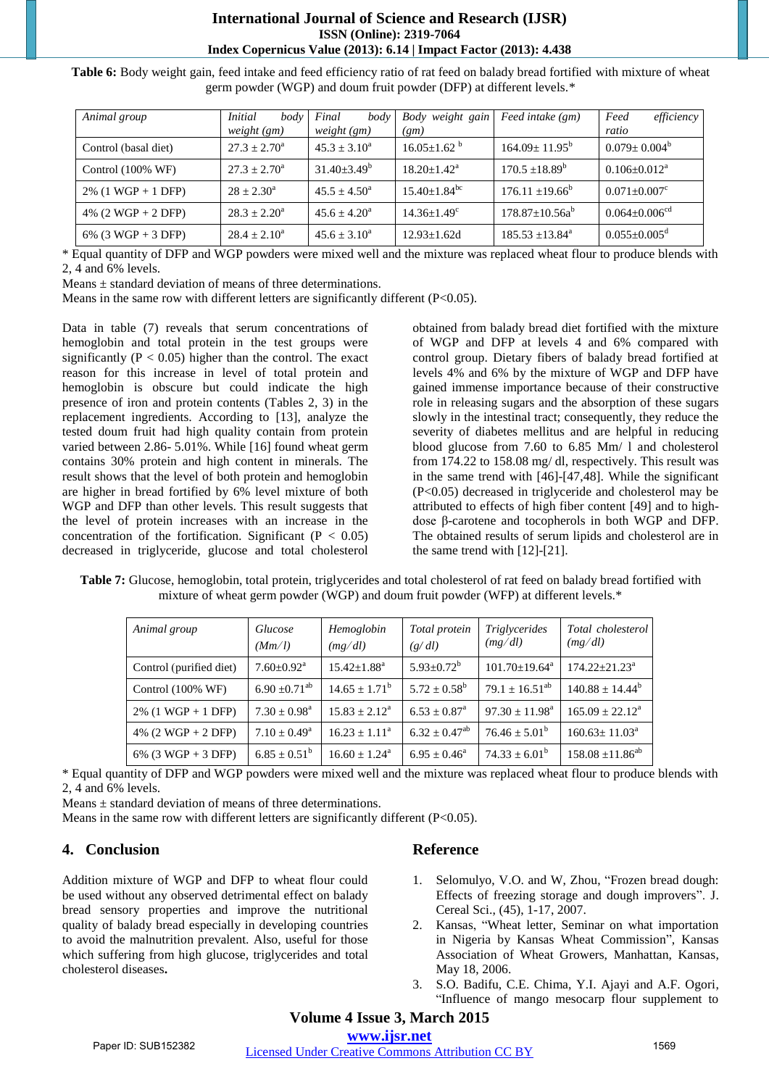# **International Journal of Science and Research (IJSR) ISSN (Online): 2319-7064 Index Copernicus Value (2013): 6.14 | Impact Factor (2013): 4.438**

| Animal group                 | <i>Initial</i><br>body<br>weight (gm) | Final<br>body<br>weight (gm) | Body weight gain<br>(gm)      | Feed intake (gm)           | Feed<br>efficiency<br>ratio     |
|------------------------------|---------------------------------------|------------------------------|-------------------------------|----------------------------|---------------------------------|
| Control (basal diet)         | $27.3 + 2.70^{\circ}$                 | $45.3 + 3.10^a$              | $16.05 + 1.62$ <sup>b</sup>   | $164.09 \pm 11.95^{\rm b}$ | $0.079 \pm 0.004^b$             |
| Control $(100\% \text{ WF})$ | $27.3 \pm 2.70^{\circ}$               | $31.40 + 3.49^b$             | $18.20 + 1.42^a$              | $170.5 \pm 18.89^b$        | $0.106 \pm 0.012^a$             |
| $2\%$ (1 WGP + 1 DFP)        | $28 + 2.30^a$                         | $45.5 + 4.50^{\circ}$        | $15.40 + 1.84$ <sup>bc</sup>  | $176.11 \pm 19.66^{\circ}$ | $0.071 \pm 0.007$ <sup>c</sup>  |
| 4% $(2 WGP + 2 DFP)$         | $28.3 + 2.20^a$                       | $45.6 + 4.20^a$              | $14.36 \pm 1.49$ <sup>c</sup> | $178.87 \pm 10.56a^b$      | $0.064 \pm 0.006$ <sup>cd</sup> |
| $6\%$ (3 WGP + 3 DFP)        | $28.4 \pm 2.10^a$                     | $45.6 + 3.10^a$              | $12.93 \pm 1.62$ d            | $185.53 \pm 13.84^{\circ}$ | $0.055 \pm 0.005$ <sup>d</sup>  |

**Table 6:** Body weight gain, feed intake and feed efficiency ratio of rat feed on balady bread fortified with mixture of wheat germ powder (WGP) and doum fruit powder (DFP) at different levels.\*

\* Equal quantity of DFP and WGP powders were mixed well and the mixture was replaced wheat flour to produce blends with 2, 4 and 6% levels.

Means ± standard deviation of means of three determinations.

Means in the same row with different letters are significantly different (P<0.05).

Data in table (7) reveals that serum concentrations of hemoglobin and total protein in the test groups were significantly ( $P < 0.05$ ) higher than the control. The exact reason for this increase in level of total protein and hemoglobin is obscure but could indicate the high presence of iron and protein contents (Tables 2, 3) in the replacement ingredients. According to [13], analyze the tested doum fruit had high quality contain from protein varied between 2.86- 5.01%. While [16] found wheat germ contains 30% protein and high content in minerals. The result shows that the level of both protein and hemoglobin are higher in bread fortified by 6% level mixture of both WGP and DFP than other levels. This result suggests that the level of protein increases with an increase in the concentration of the fortification. Significant ( $P < 0.05$ ) decreased in triglyceride, glucose and total cholesterol

obtained from balady bread diet fortified with the mixture of WGP and DFP at levels 4 and 6% compared with control group. Dietary fibers of balady bread fortified at levels 4% and 6% by the mixture of WGP and DFP have gained immense importance because of their constructive role in releasing sugars and the absorption of these sugars slowly in the intestinal tract; consequently, they reduce the severity of diabetes mellitus and are helpful in reducing blood glucose from 7.60 to 6.85 Mm/ l and cholesterol from 174.22 to 158.08 mg/ dl, respectively. This result was in the same trend with [46]-[47,48]. While the significant (P<0.05) decreased in triglyceride and cholesterol may be attributed to effects of high fiber content [49] and to highdose β-carotene and tocopherols in both WGP and DFP. The obtained results of serum lipids and cholesterol are in the same trend with [12]-[21].

**Table 7:** Glucose, hemoglobin, total protein, triglycerides and total cholesterol of rat feed on balady bread fortified with mixture of wheat germ powder (WGP) and doum fruit powder (WFP) at different levels.\*

| Animal group                 | Glucose<br>(Mm/l)             | Hemoglobin<br>(mg/dl)       | Total protein<br>(g/dl)    | Triglycerides<br>(mg/dl)      | Total cholesterol<br>(mg/dl)  |
|------------------------------|-------------------------------|-----------------------------|----------------------------|-------------------------------|-------------------------------|
| Control (purified diet)      | $7.60 \pm 0.92$ <sup>a</sup>  | $15.42 \pm 1.88^a$          | $5.93 \pm 0.72^b$          | $101.70 \pm 19.64^{\text{a}}$ | $174.22 \pm 21.23^a$          |
| Control $(100\% \text{ WF})$ | $6.90 \pm 0.71$ <sup>ab</sup> | $14.65 \pm 1.71^{\rm b}$    | $5.72 \pm 0.58^b$          | $79.1 + 16.51^{ab}$           | $140.88 \pm 14.44^b$          |
| $2\%$ (1 WGP + 1 DFP)        | $7.30 \pm 0.98^{\text{a}}$    | $15.83 \pm 2.12^{\text{a}}$ | $6.53 \pm 0.87^{\text{a}}$ | $97.30 \pm 11.98^{\text{a}}$  | $165.09 \pm 22.12^{\text{a}}$ |
| 4% $(2 WGP + 2 DFP)$         | $7.10 + 0.49^a$               | $16.23 \pm 1.11^a$          | $6.32 \pm 0.47^{ab}$       | $76.46 \pm 5.01^b$            | $160.63 \pm 11.03^{\circ}$    |
| 6% (3 WGP + 3 DFP)           | $6.85 \pm 0.51^b$             | $16.60 \pm 1.24^{\circ}$    | $6.95 \pm 0.46^{\circ}$    | $74.33 \pm 6.01^{\rm b}$      | $158.08 \pm 11.86^{ab}$       |

\* Equal quantity of DFP and WGP powders were mixed well and the mixture was replaced wheat flour to produce blends with 2, 4 and 6% levels.

Means ± standard deviation of means of three determinations.

Means in the same row with different letters are significantly different (P<0.05).

# **4. Conclusion**

Addition mixture of WGP and DFP to wheat flour could be used without any observed detrimental effect on balady bread sensory properties and improve the nutritional quality of balady bread especially in developing countries to avoid the malnutrition prevalent. Also, useful for those which suffering from high glucose, triglycerides and total cholesterol diseases**.** 

# **Reference**

- 1. Selomulyo, V.O. and W, Zhou, "Frozen bread dough: Effects of freezing storage and dough improvers". J. Cereal Sci., (45), 1-17, 2007.
- 2. Kansas, "Wheat letter, Seminar on what importation in Nigeria by Kansas Wheat Commission", Kansas Association of Wheat Growers, Manhattan, Kansas, May 18, 2006.
- 3. S.O. Badifu, C.E. Chima, Y.I. Ajayi and A.F. Ogori, "Influence of mango mesocarp flour supplement to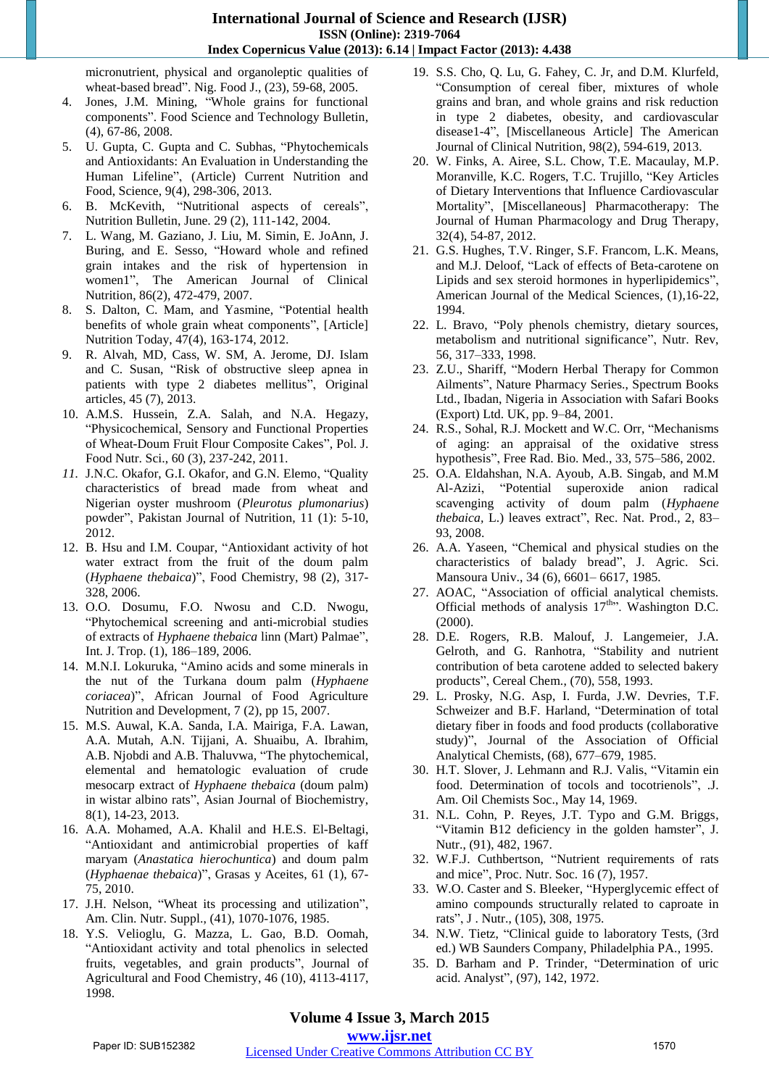micronutrient, physical and organoleptic qualities of wheat-based bread". Nig. Food J., (23), 59-68, 2005.

- 4. Jones, J.M. Mining, "Whole grains for functional components". Food Science and Technology Bulletin, (4), 67-86, 2008.
- 5. U. Gupta, C. Gupta and C. Subhas, "Phytochemicals and Antioxidants: An Evaluation in Understanding the Human Lifeline", (Article) Current Nutrition and Food, Science, 9(4), 298-306, 2013.
- 6. B. McKevith, "Nutritional aspects of cereals", Nutrition Bulletin, June. 29 (2), 111-142, 2004.
- 7. L. Wang, M. Gaziano, J. Liu, M. Simin, E. JoAnn, J. Buring, and E. Sesso, "Howard whole and refined grain intakes and the risk of hypertension in women1", The American Journal of Clinical Nutrition, 86(2), 472-479, 2007.
- 8. S. Dalton, C. Mam, and Yasmine, "Potential health benefits of whole grain wheat components", [Article] Nutrition Today, 47(4), 163-174, 2012.
- 9. R. Alvah, MD, Cass, W. SM, A. Jerome, DJ. Islam and C. Susan, "Risk of obstructive sleep apnea in patients with type 2 diabetes mellitus", Original articles, 45 (7), 2013.
- 10. A.M.S. Hussein, Z.A. Salah, and N.A. Hegazy, "Physicochemical, Sensory and Functional Properties of Wheat-Doum Fruit Flour Composite Cakes", Pol. J. Food Nutr. Sci., 60 (3), 237-242, 2011.
- *11.* J.N.C. Okafor, G.I. Okafor, and G.N. Elemo, "Quality characteristics of bread made from wheat and Nigerian oyster mushroom (*Pleurotus plumonarius*) powder", Pakistan Journal of Nutrition, 11 (1): 5-10, 2012.
- 12. B. Hsu and I.M. Coupar, "Antioxidant activity of hot water extract from the fruit of the doum palm (*Hyphaene thebaica*)", Food Chemistry, 98 (2), 317- 328, 2006.
- 13. O.O. Dosumu, F.O. Nwosu and C.D. Nwogu, "Phytochemical screening and anti-microbial studies of extracts of *Hyphaene thebaica* linn (Mart) Palmae", Int. J. Trop. (1), 186–189, 2006.
- 14. M.N.I. Lokuruka, "Amino acids and some minerals in the nut of the Turkana doum palm (*Hyphaene coriacea*)", African Journal of Food Agriculture Nutrition and Development, 7 (2), pp 15, 2007.
- 15. M.S. Auwal, K.A. Sanda, I.A. Mairiga, F.A. Lawan, A.A. Mutah, A.N. Tijjani, A. Shuaibu, A. Ibrahim, A.B. Njobdi and A.B. Thaluvwa, "The phytochemical, elemental and hematologic evaluation of crude mesocarp extract of *Hyphaene thebaica* (doum palm) in wistar albino rats", Asian Journal of Biochemistry, 8(1), 14-23, 2013.
- 16. A.A. Mohamed, A.A. Khalil and H.E.S. El-Beltagi, "Antioxidant and antimicrobial properties of kaff maryam (*Anastatica hierochuntica*) and doum palm (*Hyphaenae thebaica*)", Grasas y Aceites, 61 (1), 67- 75, 2010.
- 17. J.H. Nelson, "Wheat its processing and utilization", Am. Clin. Nutr. Suppl., (41), 1070-1076, 1985.
- 18. Y.S. Velioglu, G. Mazza, L. Gao, B.D. Oomah, "Antioxidant activity and total phenolics in selected fruits, vegetables, and grain products", Journal of Agricultural and Food Chemistry, 46 (10), 4113-4117, 1998.
- 19. S.S. Cho, Q. Lu, G. Fahey, C. Jr, and D.M. Klurfeld, "Consumption of cereal fiber, mixtures of whole grains and bran, and whole grains and risk reduction in type 2 diabetes, obesity, and cardiovascular disease1-4", [Miscellaneous Article] The American Journal of Clinical Nutrition, 98(2), 594-619, 2013.
- 20. W. Finks, A. Airee, S.L. Chow, T.E. Macaulay, M.P. Moranville, K.C. Rogers, T.C. Trujillo, "Key Articles of Dietary Interventions that Influence Cardiovascular Mortality", [Miscellaneous] Pharmacotherapy: The Journal of Human Pharmacology and Drug Therapy, 32(4), 54-87, 2012.
- 21. G.S. Hughes, T.V. Ringer, S.F. Francom, L.K. Means, and M.J. Deloof, "Lack of effects of Beta-carotene on Lipids and sex steroid hormones in hyperlipidemics", American Journal of the Medical Sciences, (1),16-22, 1994.
- 22. L. Bravo, "Poly phenols chemistry, dietary sources, metabolism and nutritional significance", Nutr. Rev, 56, 317–333, 1998.
- 23. Z.U., Shariff, "Modern Herbal Therapy for Common Ailments", Nature Pharmacy Series., Spectrum Books Ltd., Ibadan, Nigeria in Association with Safari Books (Export) Ltd. UK, pp. 9–84, 2001.
- 24. R.S., Sohal, R.J. Mockett and W.C. Orr, "Mechanisms of aging: an appraisal of the oxidative stress hypothesis", Free Rad. Bio. Med., 33, 575–586, 2002.
- 25. O.A. Eldahshan, N.A. Ayoub, A.B. Singab, and M.M Al-Azizi, "Potential superoxide anion radical scavenging activity of doum palm (*Hyphaene thebaica,* L.) leaves extract", Rec. Nat. Prod., 2, 83– 93, 2008.
- 26. A.A. Yaseen, "Chemical and physical studies on the characteristics of balady bread", J. Agric. Sci. Mansoura Univ., 34 (6), 6601– 6617, 1985.
- 27. AOAC, "Association of official analytical chemists. Official methods of analysis  $17<sup>th</sup>$ . Washington D.C. (2000).
- 28. D.E. Rogers, R.B. Malouf, J. Langemeier, J.A. Gelroth, and G. Ranhotra, "Stability and nutrient contribution of beta carotene added to selected bakery products", Cereal Chem., (70), 558, 1993.
- 29. L. Prosky, N.G. Asp, I. Furda, J.W. Devries, T.F. Schweizer and B.F. Harland, "Determination of total dietary fiber in foods and food products (collaborative study)", Journal of the Association of Official Analytical Chemists, (68), 677–679, 1985.
- 30. H.T. Slover, J. Lehmann and R.J. Valis, "Vitamin ein food. Determination of tocols and tocotrienols", .J. Am. Oil Chemists Soc., May 14, 1969.
- 31. N.L. Cohn, P. Reyes, J.T. Typo and G.M. Briggs, "Vitamin B12 deficiency in the golden hamster", J. Nutr., (91), 482, 1967.
- 32. W.F.J. Cuthbertson, "Nutrient requirements of rats and mice", Proc. Nutr. Soc. 16 (7), 1957.
- 33. W.O. Caster and S. Bleeker, "Hyperglycemic effect of amino compounds structurally related to caproate in rats", J . Nutr., (105), 308, 1975.
- 34. N.W. Tietz, "Clinical guide to laboratory Tests, (3rd ed.) WB Saunders Company, Philadelphia PA., 1995.
- 35. D. Barham and P. Trinder, "Determination of uric acid. Analyst", (97), 142, 1972.